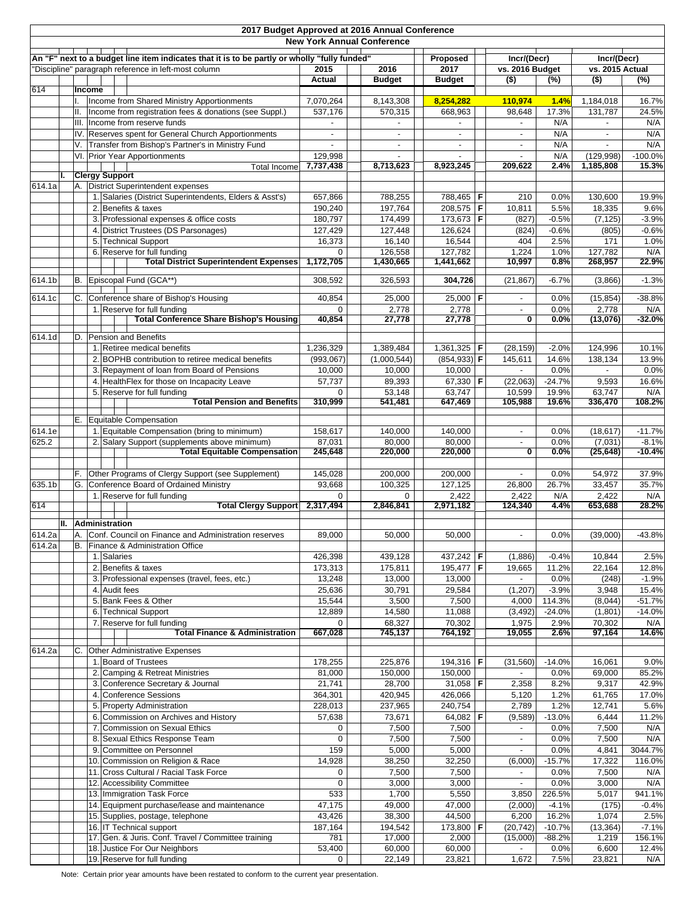|                                                                                                                                                      |    |           |        |                       | 2017 Budget Approved at 2016 Annual Conference                                                            | <b>New York Annual Conference</b> |                    |  |                            |                                |                    |                                |                      |  |
|------------------------------------------------------------------------------------------------------------------------------------------------------|----|-----------|--------|-----------------------|-----------------------------------------------------------------------------------------------------------|-----------------------------------|--------------------|--|----------------------------|--------------------------------|--------------------|--------------------------------|----------------------|--|
|                                                                                                                                                      |    |           |        |                       |                                                                                                           |                                   |                    |  |                            |                                |                    |                                |                      |  |
| An "F" next to a budget line item indicates that it is to be partly or wholly "fully funded"<br>"Discipline" paragraph reference in left-most column |    |           |        |                       |                                                                                                           | 2015                              | 2016               |  | Proposed<br>2017           | Incr/(Decr)<br>vs. 2016 Budget |                    | Incr/(Decr)<br>vs. 2015 Actual |                      |  |
|                                                                                                                                                      |    |           |        |                       |                                                                                                           | Actual                            | <b>Budget</b>      |  | <b>Budget</b>              | $($ \$)                        | (%)                | $($ \$)                        | (%)                  |  |
| 614                                                                                                                                                  |    |           | Income |                       |                                                                                                           |                                   |                    |  |                            |                                |                    |                                |                      |  |
|                                                                                                                                                      |    |           |        |                       | Income from Shared Ministry Apportionments                                                                | 7,070,264                         | 8,143,308          |  | 8,254,282                  | 110,974                        | 1.4%               | 1,184,018                      | 16.7%                |  |
|                                                                                                                                                      |    | II.       |        |                       | Income from registration fees & donations (see Suppl.)                                                    | 537,176                           | 570,315            |  | 668,963                    | 98,648                         | 17.3%              | 131,787                        | 24.5%                |  |
|                                                                                                                                                      |    | III.      |        |                       | Income from reserve funds                                                                                 |                                   |                    |  | $\sim$                     |                                | N/A                | $\overline{a}$                 | N/A                  |  |
|                                                                                                                                                      |    | V.        |        |                       | IV. Reserves spent for General Church Apportionments<br>Transfer from Bishop's Partner's in Ministry Fund |                                   |                    |  |                            |                                | N/A<br>N/A         |                                | N/A<br>N/A           |  |
|                                                                                                                                                      |    |           |        |                       | VI. Prior Year Apportionments                                                                             | 129,998                           |                    |  |                            |                                | N/A                | (129, 998)                     | $-100.0%$            |  |
|                                                                                                                                                      |    |           |        |                       | Total Income                                                                                              | 7,737,438                         | 8,713,623          |  | 8,923,245                  | 209,622                        | 2.4%               | 1,185,808                      | 15.3%                |  |
|                                                                                                                                                      | I. |           |        | <b>Clergy Support</b> |                                                                                                           |                                   |                    |  |                            |                                |                    |                                |                      |  |
| 614.1a                                                                                                                                               |    |           |        |                       | A. District Superintendent expenses                                                                       |                                   |                    |  |                            |                                |                    |                                |                      |  |
|                                                                                                                                                      |    |           |        |                       | 1. Salaries (District Superintendents, Elders & Asst's)<br>2. Benefits & taxes                            | 657,866<br>190,240                | 788,255<br>197,764 |  | 788,465   F<br>$208,575$ F | 210                            | 0.0%<br>5.5%       | 130,600                        | 19.9%<br>9.6%        |  |
|                                                                                                                                                      |    |           |        |                       | 3. Professional expenses & office costs                                                                   | 180,797                           | 174,499            |  | 173,673 F                  | 10,811<br>(827)                | $-0.5%$            | 18,335<br>(7, 125)             | $-3.9%$              |  |
|                                                                                                                                                      |    |           | 4.     |                       | District Trustees (DS Parsonages)                                                                         | 127,429                           | 127,448            |  | 126,624                    | (824)                          | $-0.6%$            | (805)                          | $-0.6%$              |  |
|                                                                                                                                                      |    |           |        |                       | 5. Technical Support                                                                                      | 16,373                            | 16,140             |  | 16,544                     | 404                            | 2.5%               | 171                            | 1.0%                 |  |
|                                                                                                                                                      |    |           |        |                       | 6. Reserve for full funding                                                                               | $\Omega$                          | 126,558            |  | 127,782                    | 1,224                          | 1.0%               | 127,782                        | N/A                  |  |
|                                                                                                                                                      |    |           |        |                       | <b>Total District Superintendent Expenses</b>                                                             | 1,172,705                         | 1,430,665          |  | 1,441,662                  | 10,997                         | 0.8%               | 268,957                        | 22.9%                |  |
| 614.1b                                                                                                                                               |    | B.        |        |                       | Episcopal Fund (GCA**)                                                                                    | 308,592                           | 326,593            |  | 304,726                    | (21, 867)                      | $-6.7%$            | (3,866)                        | $-1.3%$              |  |
| 614.1c                                                                                                                                               |    | C.        |        |                       | Conference share of Bishop's Housing                                                                      | 40,854                            | 25,000             |  | 25,000   <b>F</b>          |                                | 0.0%               | (15, 854)                      | $-38.8%$             |  |
|                                                                                                                                                      |    |           |        |                       | 1. Reserve for full funding                                                                               |                                   | 2,778              |  | 2,778                      | $\overline{\phantom{a}}$       | 0.0%               | 2,778                          | N/A                  |  |
|                                                                                                                                                      |    |           |        |                       | <b>Total Conference Share Bishop's Housing</b>                                                            | 40,854                            | 27,778             |  | 27,778                     | $\overline{\mathbf{0}}$        | $0.0\%$            | (13,076)                       | $-32.0%$             |  |
| 614.1d                                                                                                                                               |    | D.        |        |                       | Pension and Benefits                                                                                      |                                   |                    |  |                            |                                |                    |                                |                      |  |
|                                                                                                                                                      |    |           |        |                       | 1. Retiree medical benefits                                                                               | 1,236,329                         | 1,389,484          |  | 1,361,325   <b>F</b>       | (28, 159)                      | $-2.0%$            | 124,996                        | 10.1%                |  |
|                                                                                                                                                      |    |           |        |                       | 2. BOPHB contribution to retiree medical benefits                                                         | (993,067)                         | (1,000,544)        |  | $(854, 933)$ F             | 145,611                        | 14.6%              | 138,134                        | 13.9%                |  |
|                                                                                                                                                      |    |           |        |                       | 3. Repayment of loan from Board of Pensions                                                               | 10,000                            | 10,000             |  | 10,000                     |                                | 0.0%               |                                | 0.0%                 |  |
|                                                                                                                                                      |    |           |        |                       | 4. HealthFlex for those on Incapacity Leave                                                               | 57,737                            | 89,393             |  | 67,330 $F$                 | (22,063)                       | $-24.7%$           | 9,593                          | 16.6%                |  |
|                                                                                                                                                      |    |           |        |                       | 5. Reserve for full funding                                                                               | $\Omega$                          | 53,148             |  | 63,747                     | 10,599                         | 19.9%              | 63,747                         | N/A                  |  |
|                                                                                                                                                      |    |           |        |                       | <b>Total Pension and Benefits</b>                                                                         | 310,999                           | 541,481            |  | 647,469                    | 105,988                        | 19.6%              | 336,470                        | 108.2%               |  |
|                                                                                                                                                      |    |           |        |                       | E. Equitable Compensation                                                                                 |                                   |                    |  |                            |                                |                    |                                |                      |  |
| 614.1e                                                                                                                                               |    |           |        |                       | 1. Equitable Compensation (bring to minimum)                                                              | 158,617                           | 140,000            |  | 140,000                    |                                | 0.0%               | (18, 617)                      | $-11.7%$             |  |
| 625.2                                                                                                                                                |    |           |        |                       | 2. Salary Support (supplements above minimum)                                                             | 87,031                            | 80,000             |  | 80,000                     | $\overline{\phantom{a}}$       | 0.0%               | (7,031)                        | $-8.1%$              |  |
|                                                                                                                                                      |    |           |        |                       | <b>Total Equitable Compensation</b>                                                                       | 245,648                           | 220,000            |  | 220,000                    | $\overline{\mathbf{0}}$        | $0.0\%$            | (25, 648)                      | $-10.4%$             |  |
|                                                                                                                                                      |    | F.        |        |                       | Other Programs of Clergy Support (see Supplement)                                                         | 145,028                           | 200,000            |  | 200,000                    | $\blacksquare$                 | 0.0%               | 54,972                         | 37.9%                |  |
| 635.1b                                                                                                                                               |    | G.        |        |                       | Conference Board of Ordained Ministry                                                                     | 93,668                            | 100,325            |  | 127,125                    | 26,800                         | 26.7%              | 33,457                         | 35.7%                |  |
|                                                                                                                                                      |    |           |        |                       | 1. Reserve for full funding                                                                               | $\Omega$                          | $\Omega$           |  | 2,422                      | 2,422                          | N/A                | 2,422                          | N/A                  |  |
| 614                                                                                                                                                  |    |           |        |                       | <b>Total Clergy Support</b>                                                                               | 2,317,494                         | 2,846,841          |  | 2,971,182                  | 124,340                        | 4.4%               | 653,688                        | 28.2%                |  |
|                                                                                                                                                      |    |           |        | II. Administration    |                                                                                                           |                                   |                    |  |                            |                                |                    |                                |                      |  |
| 614.2a                                                                                                                                               |    |           |        |                       | A. Conf. Council on Finance and Administration reserves                                                   | 89,000                            | 50,000             |  | 50,000                     |                                | 0.0%               | (39,000)                       | $-43.8%$             |  |
| 614.2a                                                                                                                                               |    | <b>B.</b> |        |                       | Finance & Administration Office                                                                           |                                   |                    |  |                            |                                |                    |                                |                      |  |
|                                                                                                                                                      |    |           |        | 1. Salaries           |                                                                                                           | 426,398                           | 439,128            |  | 437,242 F                  | (1,886)                        | $-0.4%$            | 10,844                         | 2.5%                 |  |
|                                                                                                                                                      |    |           |        |                       | 2. Benefits & taxes                                                                                       | 173,313                           | 175,811            |  | 195,477 $F$                | 19,665                         | 11.2%              | 22,164                         | 12.8%                |  |
|                                                                                                                                                      |    |           |        |                       | 3. Professional expenses (travel, fees, etc.)                                                             | 13,248                            | 13,000             |  | 13,000                     | $\sim$                         | 0.0%               | (248)                          | $-1.9%$              |  |
|                                                                                                                                                      |    |           |        | 4. Audit fees         |                                                                                                           | 25,636                            | 30,791             |  | 29,584                     | (1, 207)                       | $-3.9%$            | 3,948                          | 15.4%                |  |
|                                                                                                                                                      |    |           |        |                       | 5. Bank Fees & Other<br>6. Technical Support                                                              | 15,544<br>12,889                  | 3,500              |  | 7,500                      | 4,000                          | 114.3%<br>$-24.0%$ | (8,044)                        | $-51.7%$<br>$-14.0%$ |  |
|                                                                                                                                                      |    |           |        |                       | 7. Reserve for full funding                                                                               | $\mathbf 0$                       | 14,580<br>68,327   |  | 11,088<br>70,302           | (3, 492)<br>1,975              | 2.9%               | (1,801)<br>70,302              | N/A                  |  |
|                                                                                                                                                      |    |           |        |                       | <b>Total Finance &amp; Administration</b>                                                                 | 667,028                           | 745,137            |  | 764,192                    | 19,055                         | 2.6%               | 97,164                         | 14.6%                |  |
|                                                                                                                                                      |    |           |        |                       |                                                                                                           |                                   |                    |  |                            |                                |                    |                                |                      |  |
| 614.2a                                                                                                                                               |    | C.        |        |                       | Other Administrative Expenses<br>1. Board of Trustees                                                     |                                   |                    |  |                            |                                |                    |                                |                      |  |
|                                                                                                                                                      |    |           |        |                       | 2. Camping & Retreat Ministries                                                                           | 178,255<br>81,000                 | 225,876<br>150,000 |  | 194,316   F<br>150,000     | (31, 560)                      | $-14.0%$<br>0.0%   | 16,061<br>69,000               | 9.0%<br>85.2%        |  |
|                                                                                                                                                      |    |           |        |                       | 3. Conference Secretary & Journal                                                                         | 21,741                            | 28,700             |  | 31,058   <b>F</b>          | 2,358                          | 8.2%               | 9,317                          | 42.9%                |  |
|                                                                                                                                                      |    |           |        |                       | 4. Conference Sessions                                                                                    | 364,301                           | 420,945            |  | 426,066                    | 5,120                          | 1.2%               | 61,765                         | 17.0%                |  |
|                                                                                                                                                      |    |           |        |                       | 5. Property Administration                                                                                | 228,013                           | 237,965            |  | 240,754                    | 2,789                          | 1.2%               | 12,741                         | 5.6%                 |  |
|                                                                                                                                                      |    |           |        |                       | 6. Commission on Archives and History                                                                     | 57,638                            | 73,671             |  | 64,082   <b>F</b>          | (9,589)                        | $-13.0%$           | 6,444                          | 11.2%                |  |
|                                                                                                                                                      |    |           |        |                       | 7. Commission on Sexual Ethics                                                                            | 0                                 | 7,500              |  | 7,500                      |                                | 0.0%               | 7,500                          | N/A                  |  |
|                                                                                                                                                      |    |           |        |                       | 8. Sexual Ethics Response Team                                                                            | 0                                 | 7,500              |  | 7,500                      | $\blacksquare$                 | 0.0%               | 7,500                          | N/A                  |  |
|                                                                                                                                                      |    |           |        |                       | 9. Committee on Personnel                                                                                 | 159                               | 5,000              |  | 5,000                      |                                | 0.0%               | 4,841                          | 3044.7%              |  |
|                                                                                                                                                      |    |           |        |                       | 10. Commission on Religion & Race                                                                         | 14,928                            | 38,250             |  | 32,250                     | (6,000)                        | $-15.7%$           | 17,322                         | 116.0%               |  |
|                                                                                                                                                      |    |           |        |                       | 11. Cross Cultural / Racial Task Force                                                                    | 0                                 | 7,500              |  | 7,500                      |                                | 0.0%               | 7,500                          | N/A                  |  |
|                                                                                                                                                      |    |           |        |                       | 12. Accessibility Committee<br>13. Immigration Task Force                                                 | 0<br>533                          | 3,000<br>1,700     |  | 3,000<br>5,550             | 3,850                          | 0.0%<br>226.5%     | 3,000<br>5,017                 | N/A<br>941.1%        |  |
|                                                                                                                                                      |    |           |        |                       | 14. Equipment purchase/lease and maintenance                                                              | 47,175                            | 49,000             |  | 47,000                     | (2,000)                        | $-4.1%$            | (175)                          | $-0.4%$              |  |
|                                                                                                                                                      |    |           |        |                       | 15. Supplies, postage, telephone                                                                          | 43,426                            | 38,300             |  | 44,500                     | 6,200                          | 16.2%              | 1,074                          | 2.5%                 |  |
|                                                                                                                                                      |    |           |        |                       | 16. IT Technical support                                                                                  | 187,164                           | 194,542            |  | 173,800 F                  | (20, 742)                      | $-10.7%$           | (13, 364)                      | $-7.1%$              |  |
|                                                                                                                                                      |    |           |        |                       | 17. Gen. & Juris. Conf. Travel / Committee training                                                       | 781                               | 17,000             |  | 2,000                      | (15,000)                       | $-88.2%$           | 1,219                          | 156.1%               |  |
|                                                                                                                                                      |    |           |        |                       | 18. Justice For Our Neighbors                                                                             | 53,400                            | 60,000             |  | 60,000                     |                                | 0.0%               | 6,600                          | 12.4%                |  |
|                                                                                                                                                      |    |           |        |                       | 19. Reserve for full funding                                                                              | 0                                 | 22,149             |  | 23,821                     | 1,672                          | 7.5%               | 23,821                         | N/A                  |  |

Note: Certain prior year amounts have been restated to conform to the current year presentation.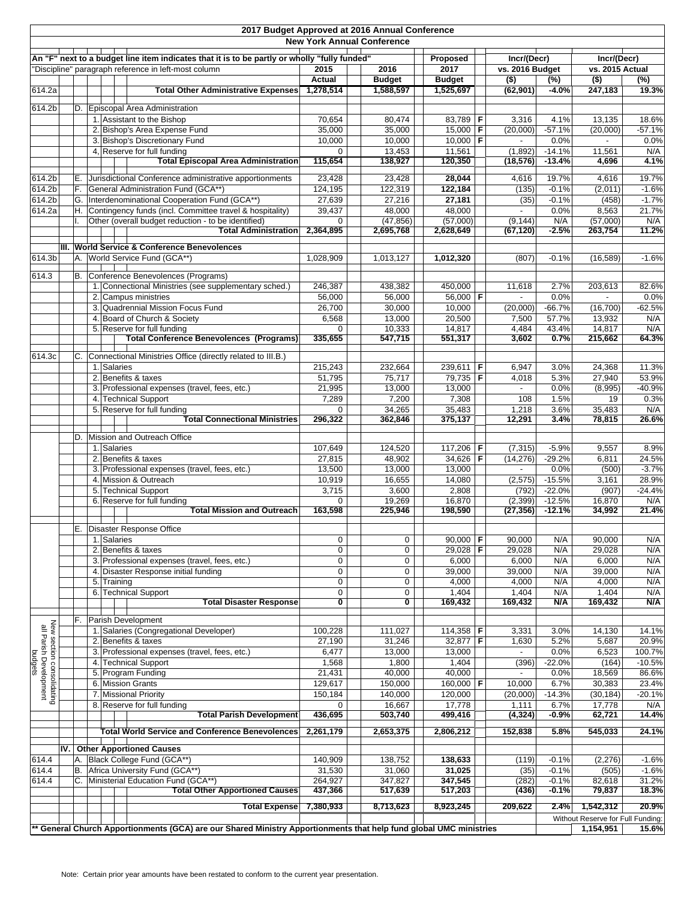| 2017 Budget Approved at 2016 Annual Conference<br><b>New York Annual Conference</b> |  |             |                                                                                                                                                      |                        |                       |  |                     |   |                                |                      |                                   |                    |
|-------------------------------------------------------------------------------------|--|-------------|------------------------------------------------------------------------------------------------------------------------------------------------------|------------------------|-----------------------|--|---------------------|---|--------------------------------|----------------------|-----------------------------------|--------------------|
|                                                                                     |  |             |                                                                                                                                                      |                        |                       |  |                     |   |                                |                      |                                   |                    |
|                                                                                     |  |             | An "F" next to a budget line item indicates that it is to be partly or wholly "fully funded"<br>"Discipline" paragraph reference in left-most column | 2015                   | 2016                  |  | Proposed<br>2017    |   | Incr/(Decr)<br>vs. 2016 Budget |                      | Incr/(Decr)<br>vs. 2015 Actual    |                    |
|                                                                                     |  |             |                                                                                                                                                      | <b>Actual</b>          | <b>Budget</b>         |  | <b>Budget</b>       |   | $($ \$)                        | (%)                  | $($ \$)                           | (%)                |
| 614.2a                                                                              |  |             | <b>Total Other Administrative Expenses</b>                                                                                                           | 1,278,514              | 1,588,597             |  | 1,525,697           |   | (62, 901)                      | $-4.0%$              | 247,183                           | 19.3%              |
| 614.2b                                                                              |  |             | D. Episcopal Area Administration                                                                                                                     |                        |                       |  |                     |   |                                |                      |                                   |                    |
|                                                                                     |  |             | 1. Assistant to the Bishop                                                                                                                           | 70,654                 | 80,474                |  | 83,789              | F | 3,316                          | 4.1%                 | 13,135                            | 18.6%              |
|                                                                                     |  |             | 2. Bishop's Area Expense Fund                                                                                                                        | 35,000                 | 35,000                |  | $15,000$ F          |   | (20,000)                       | $-57.1%$             | (20,000)                          | $-57.1%$           |
|                                                                                     |  |             | 3. Bishop's Discretionary Fund                                                                                                                       | 10,000                 | 10,000                |  | $10.000$ F          |   |                                | 0.0%                 |                                   | 0.0%               |
|                                                                                     |  |             | 4, Reserve for full funding<br><b>Total Episcopal Area Administration</b>                                                                            | $\mathbf 0$<br>115,654 | 13,453<br>138,927     |  | 11,561<br>120,350   |   | (1,892)<br>(18, 576)           | $-14.1%$<br>$-13.4%$ | 11,561<br>4,696                   | N/A<br>4.1%        |
|                                                                                     |  |             |                                                                                                                                                      |                        |                       |  |                     |   |                                |                      |                                   |                    |
| 614.2b                                                                              |  | Е.          | Jurisdictional Conference administrative apportionments                                                                                              | 23,428                 | 23,428                |  | 28,044              |   | 4,616                          | 19.7%                | 4,616                             | 19.7%              |
| 614.2b<br>614.2b                                                                    |  | F.<br>G.    | General Administration Fund (GCA**)<br>Interdenominational Cooperation Fund (GCA**)                                                                  | 124,195<br>27,639      | 122,319<br>27,216     |  | 122.184<br>27,181   |   | (135)<br>(35)                  | $-0.1%$<br>$-0.1%$   | (2,011)<br>(458)                  | $-1.6%$<br>$-1.7%$ |
| 614.2a                                                                              |  | Η.          | Contingency funds (incl. Committee travel & hospitality)                                                                                             | 39,437                 | 48,000                |  | 48,000              |   |                                | 0.0%                 | 8,563                             | 21.7%              |
|                                                                                     |  |             | Other (overall budget reduction - to be identified)                                                                                                  | 0                      | (47, 856)             |  | (57,000)            |   | (9, 144)                       | N/A                  | (57,000)                          | N/A                |
|                                                                                     |  |             | <b>Total Administration</b>                                                                                                                          | 2,364,895              | 2,695,768             |  | 2,628,649           |   | (67, 120)                      | $-2.5%$              | 263,754                           | 11.2%              |
|                                                                                     |  |             | III. World Service & Conference Benevolences                                                                                                         |                        |                       |  |                     |   |                                |                      |                                   |                    |
| 614.3b                                                                              |  |             | A. World Service Fund (GCA**)                                                                                                                        | 1,028,909              | 1,013,127             |  | 1,012,320           |   | (807)                          | $-0.1%$              | (16, 589)                         | $-1.6%$            |
| 614.3                                                                               |  |             | B. Conference Benevolences (Programs)                                                                                                                |                        |                       |  |                     |   |                                |                      |                                   |                    |
|                                                                                     |  |             | 1. Connectional Ministries (see supplementary sched.)                                                                                                | 246,387                | 438,382               |  | 450,000             |   | 11,618                         | 2.7%                 | 203,613                           | 82.6%              |
|                                                                                     |  |             | 2. Campus ministries                                                                                                                                 | 56,000                 | 56,000                |  | 56,000   <b>F</b>   |   |                                | 0.0%                 | $\sim$                            | 0.0%               |
|                                                                                     |  |             | 3. Quadrennial Mission Focus Fund                                                                                                                    | 26,700                 | 30,000                |  | 10,000              |   | (20,000)                       | $-66.7%$             | (16, 700)                         | $-62.5%$           |
|                                                                                     |  |             | 4. Board of Church & Society                                                                                                                         | 6,568                  | 13,000                |  | 20,500              |   | 7,500                          | 57.7%                | 13,932                            | N/A                |
|                                                                                     |  |             | 5. Reserve for full funding<br><b>Total Conference Benevolences (Programs)</b>                                                                       | $\Omega$<br>335,655    | 10,333<br>547,715     |  | 14,817<br>551,317   |   | 4,484<br>3,602                 | 43.4%<br>0.7%        | 14,817<br>215,662                 | N/A<br>64.3%       |
|                                                                                     |  |             |                                                                                                                                                      |                        |                       |  |                     |   |                                |                      |                                   |                    |
| 614.3c                                                                              |  | C.          | Connectional Ministries Office (directly related to III.B.)                                                                                          |                        |                       |  |                     |   |                                |                      |                                   |                    |
|                                                                                     |  | 1. Salaries | 2. Benefits & taxes                                                                                                                                  | 215,243<br>51,795      | 232,664<br>75,717     |  | 239,611<br>79,735 F | F | 6,947<br>4,018                 | 3.0%<br>5.3%         | 24,368<br>27,940                  | 11.3%<br>53.9%     |
|                                                                                     |  |             | 3. Professional expenses (travel, fees, etc.)                                                                                                        | 21,995                 | 13,000                |  | 13,000              |   |                                | 0.0%                 | (8,995)                           | $-40.9%$           |
|                                                                                     |  |             | 4. Technical Support                                                                                                                                 | 7,289                  | 7,200                 |  | 7,308               |   | 108                            | 1.5%                 | 19                                | 0.3%               |
|                                                                                     |  |             | 5. Reserve for full funding                                                                                                                          | $\Omega$               | 34,265                |  | 35,483              |   | 1,218                          | 3.6%                 | 35,483                            | N/A                |
|                                                                                     |  |             | <b>Total Connectional Ministries</b>                                                                                                                 | 296,322                | 362,846               |  | 375,137             |   | 12,291                         | 3.4%                 | 78,815                            | 26.6%              |
|                                                                                     |  | D.          | Mission and Outreach Office                                                                                                                          |                        |                       |  |                     |   |                                |                      |                                   |                    |
|                                                                                     |  | 1. Salaries |                                                                                                                                                      | 107,649                | 124,520               |  | 117,206             | F | (7, 315)                       | $-5.9%$              | 9,557                             | 8.9%               |
|                                                                                     |  |             | 2. Benefits & taxes<br>3. Professional expenses (travel, fees, etc.)                                                                                 | 27,815<br>13,500       | 48,902<br>13,000      |  | 34,626<br>13,000    | F | (14, 276)                      | $-29.2%$<br>0.0%     | 6,811<br>(500)                    | 24.5%<br>$-3.7%$   |
|                                                                                     |  |             | 4. Mission & Outreach                                                                                                                                | 10,919                 | 16,655                |  | 14,080              |   | (2,575)                        | $-15.5%$             | 3,161                             | 28.9%              |
|                                                                                     |  |             | 5. Technical Support                                                                                                                                 | 3,715                  | 3,600                 |  | 2,808               |   | (792)                          | $-22.0%$             | (907)                             | $-24.4%$           |
|                                                                                     |  |             | 6. Reserve for full funding                                                                                                                          | $\Omega$               | 19,269                |  | 16,870              |   | (2,399)                        | $-12.5%$             | 16,870                            | N/A                |
|                                                                                     |  |             | Total Mission and Outreach                                                                                                                           | 163,598                | 225,946               |  | 198,590             |   | (27, 356)                      | $-12.1%$             | 34,992                            | 21.4%              |
|                                                                                     |  |             | E. Disaster Response Office                                                                                                                          |                        |                       |  |                     |   |                                |                      |                                   |                    |
|                                                                                     |  | 1. Salaries |                                                                                                                                                      | 0                      | 0                     |  | 90,000   <b>F</b>   |   | 90,000                         | N/A                  | 90,000                            | N/A                |
|                                                                                     |  |             | 2. Benefits & taxes                                                                                                                                  | $\mathbf 0$            | $\mathbf 0$           |  | 29,028              | F | 29,028                         | N/A                  | 29,028                            | N/A                |
|                                                                                     |  |             | 3. Professional expenses (travel, fees, etc.)                                                                                                        | 0<br>0                 | 0<br>$\boldsymbol{0}$ |  | 6,000               |   | 6,000                          | N/A<br>N/A           | 6,000<br>39,000                   | N/A<br>N/A         |
|                                                                                     |  | 5. Training | 4. Disaster Response initial funding                                                                                                                 | 0                      | 0                     |  | 39,000<br>4,000     |   | 39,000<br>4,000                | N/A                  | 4,000                             | N/A                |
|                                                                                     |  |             | 6. Technical Support                                                                                                                                 | 0                      | $\boldsymbol{0}$      |  | 1,404               |   | 1,404                          | N/A                  | 1,404                             | N/A                |
|                                                                                     |  |             | <b>Total Disaster Response</b>                                                                                                                       | 0                      | 0                     |  | 169,432             |   | 169,432                        | N/A                  | 169,432                           | N/A                |
|                                                                                     |  |             | F. Parish Development                                                                                                                                |                        |                       |  |                     |   |                                |                      |                                   |                    |
| New section consolidating<br>all Parish Development<br>budgets                      |  |             | 1. Salaries (Congregational Developer)                                                                                                               | 100,228                | 111,027               |  | 114,358 F           |   | 3,331                          | 3.0%                 | 14,130                            | 14.1%              |
|                                                                                     |  |             | 2. Benefits & taxes                                                                                                                                  | 27,190                 | 31,246                |  | 32,877              | F | 1,630                          | 5.2%                 | 5,687                             | 20.9%              |
|                                                                                     |  |             | 3. Professional expenses (travel, fees, etc.)                                                                                                        | 6,477                  | 13,000                |  | 13,000              |   |                                | 0.0%                 | 6,523                             | 100.7%             |
|                                                                                     |  |             | 4. Technical Support<br>5. Program Funding                                                                                                           | 1,568<br>21,431        | 1,800<br>40,000       |  | 1,404<br>40,000     |   | (396)                          | $-22.0%$<br>0.0%     | (164)<br>18,569                   | $-10.5%$<br>86.6%  |
|                                                                                     |  |             | 6. Mission Grants                                                                                                                                    | 129,617                | 150,000               |  | 160,000 F           |   | 10,000                         | 6.7%                 | 30,383                            | 23.4%              |
|                                                                                     |  |             | 7. Missional Priority                                                                                                                                | 150,184                | 140,000               |  | 120,000             |   | (20,000)                       | $-14.3%$             | (30, 184)                         | $-20.1%$           |
|                                                                                     |  |             | 8. Reserve for full funding                                                                                                                          | 0                      | 16,667                |  | 17,778              |   | 1,111                          | 6.7%                 | 17,778                            | N/A                |
|                                                                                     |  |             | <b>Total Parish Development</b>                                                                                                                      | 436,695                | 503,740               |  | 499,416             |   | (4, 324)                       | -0.9%                | 62,721                            | 14.4%              |
|                                                                                     |  |             | <b>Total World Service and Conference Benevolences</b>                                                                                               | 2,261,179              | 2,653,375             |  | 2,806,212           |   | 152,838                        | 5.8%                 | 545,033                           | 24.1%              |
|                                                                                     |  |             | IV. Other Apportioned Causes                                                                                                                         |                        |                       |  |                     |   |                                |                      |                                   |                    |
| 614.4                                                                               |  |             | A. Black College Fund (GCA**)                                                                                                                        | 140,909                | 138,752               |  | 138,633             |   | (119)                          | $-0.1%$              | (2, 276)                          | $-1.6%$            |
| 614.4                                                                               |  | В.          | Africa University Fund (GCA**)                                                                                                                       | 31,530                 | 31,060                |  | 31,025              |   | (35)                           | $-0.1%$              | (505)                             | $-1.6%$            |
| 614.4                                                                               |  | C.          | Ministerial Education Fund (GCA**)                                                                                                                   | 264,927                | 347,827               |  | 347,545             |   | (282)                          | $-0.1%$              | 82,618                            | 31.2%              |
|                                                                                     |  |             | <b>Total Other Apportioned Causes</b>                                                                                                                | 437,366                | 517,639               |  | 517,203             |   | (436)                          | $-0.1%$              | 79,837                            | 18.3%              |
|                                                                                     |  |             | <b>Total Expense</b>                                                                                                                                 | 7,380,933              | 8,713,623             |  | 8,923,245           |   | 209,622                        | 2.4%                 | 1,542,312                         | 20.9%              |
|                                                                                     |  |             | ** General Church Apportionments (GCA) are our Shared Ministry Apportionments that help fund global UMC ministries                                   |                        |                       |  |                     |   |                                |                      | Without Reserve for Full Funding: |                    |
|                                                                                     |  |             |                                                                                                                                                      |                        |                       |  |                     |   |                                |                      | 1,154,951                         | 15.6%              |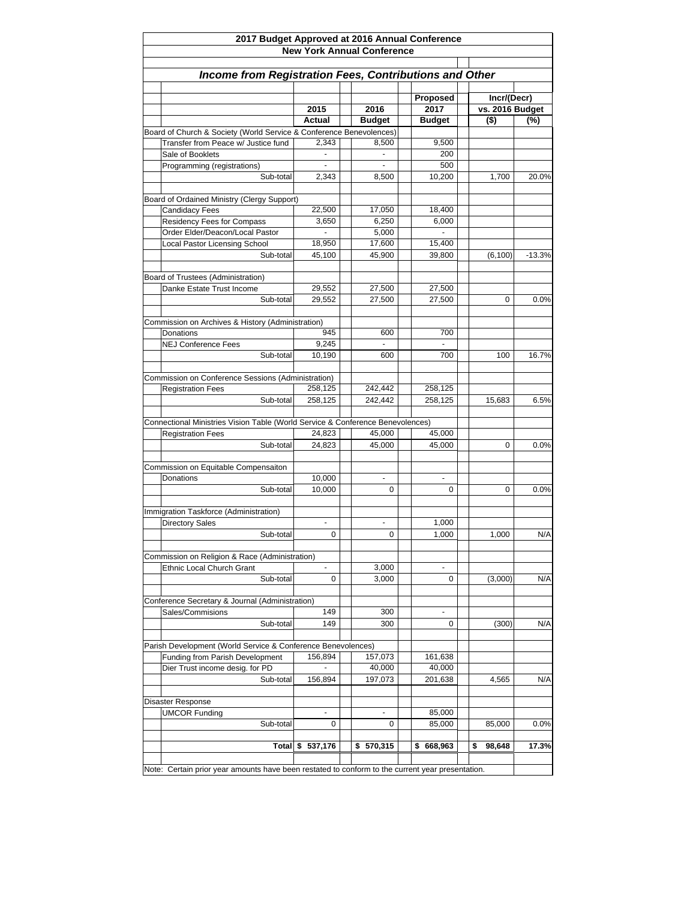| 2017 Budget Approved at 2016 Annual Conference<br><b>New York Annual Conference</b><br>Income from Registration Fees, Contributions and Other |                |  |                |              |  |              |          |  |  |  |  |  |        |  |               |                  |  |                                |     |
|-----------------------------------------------------------------------------------------------------------------------------------------------|----------------|--|----------------|--------------|--|--------------|----------|--|--|--|--|--|--------|--|---------------|------------------|--|--------------------------------|-----|
|                                                                                                                                               |                |  |                |              |  |              |          |  |  |  |  |  | 2015   |  | 2016          | Proposed<br>2017 |  | Incr/(Decr)<br>vs. 2016 Budget |     |
|                                                                                                                                               |                |  |                |              |  |              |          |  |  |  |  |  | Actual |  | <b>Budget</b> | <b>Budget</b>    |  | $($ \$)                        | (%) |
| Board of Church & Society (World Service & Conference Benevolences)                                                                           |                |  |                |              |  |              |          |  |  |  |  |  |        |  |               |                  |  |                                |     |
| Transfer from Peace w/ Justice fund                                                                                                           | 2,343          |  | 8,500          | 9,500        |  |              |          |  |  |  |  |  |        |  |               |                  |  |                                |     |
| Sale of Booklets                                                                                                                              |                |  |                | 200          |  |              |          |  |  |  |  |  |        |  |               |                  |  |                                |     |
| Programming (registrations)                                                                                                                   | $\blacksquare$ |  | $\blacksquare$ | 500          |  |              |          |  |  |  |  |  |        |  |               |                  |  |                                |     |
| Sub-total                                                                                                                                     | 2,343          |  | 8,500          | 10,200       |  | 1,700        | 20.0%    |  |  |  |  |  |        |  |               |                  |  |                                |     |
| Board of Ordained Ministry (Clergy Support)                                                                                                   |                |  |                |              |  |              |          |  |  |  |  |  |        |  |               |                  |  |                                |     |
| <b>Candidacy Fees</b>                                                                                                                         | 22,500         |  | 17,050         | 18,400       |  |              |          |  |  |  |  |  |        |  |               |                  |  |                                |     |
| Residency Fees for Compass                                                                                                                    | 3,650          |  | 6,250          | 6,000        |  |              |          |  |  |  |  |  |        |  |               |                  |  |                                |     |
| Order Elder/Deacon/Local Pastor                                                                                                               |                |  | 5,000          |              |  |              |          |  |  |  |  |  |        |  |               |                  |  |                                |     |
| Local Pastor Licensing School                                                                                                                 | 18,950         |  | 17,600         | 15,400       |  |              |          |  |  |  |  |  |        |  |               |                  |  |                                |     |
| Sub-total                                                                                                                                     | 45,100         |  | 45,900         | 39,800       |  | (6, 100)     | $-13.3%$ |  |  |  |  |  |        |  |               |                  |  |                                |     |
|                                                                                                                                               |                |  |                |              |  |              |          |  |  |  |  |  |        |  |               |                  |  |                                |     |
| Board of Trustees (Administration)<br>Danke Estate Trust Income                                                                               | 29,552         |  | 27,500         | 27,500       |  |              |          |  |  |  |  |  |        |  |               |                  |  |                                |     |
| Sub-total                                                                                                                                     | 29,552         |  | 27,500         | 27,500       |  | 0            | 0.0%     |  |  |  |  |  |        |  |               |                  |  |                                |     |
|                                                                                                                                               |                |  |                |              |  |              |          |  |  |  |  |  |        |  |               |                  |  |                                |     |
| Commission on Archives & History (Administration)                                                                                             |                |  |                |              |  |              |          |  |  |  |  |  |        |  |               |                  |  |                                |     |
| Donations                                                                                                                                     | 945            |  | 600            | 700          |  |              |          |  |  |  |  |  |        |  |               |                  |  |                                |     |
| <b>NEJ Conference Fees</b>                                                                                                                    | 9,245          |  |                |              |  |              |          |  |  |  |  |  |        |  |               |                  |  |                                |     |
| Sub-total                                                                                                                                     | 10,190         |  | 600            | 700          |  | 100          | 16.7%    |  |  |  |  |  |        |  |               |                  |  |                                |     |
|                                                                                                                                               |                |  |                |              |  |              |          |  |  |  |  |  |        |  |               |                  |  |                                |     |
| Commission on Conference Sessions (Administration)                                                                                            |                |  |                |              |  |              |          |  |  |  |  |  |        |  |               |                  |  |                                |     |
| <b>Registration Fees</b>                                                                                                                      | 258,125        |  | 242,442        | 258,125      |  |              |          |  |  |  |  |  |        |  |               |                  |  |                                |     |
| Sub-total                                                                                                                                     | 258,125        |  | 242,442        | 258,125      |  | 15,683       | 6.5%     |  |  |  |  |  |        |  |               |                  |  |                                |     |
| Connectional Ministries Vision Table (World Service & Conference Benevolences)                                                                |                |  |                |              |  |              |          |  |  |  |  |  |        |  |               |                  |  |                                |     |
| <b>Registration Fees</b>                                                                                                                      | 24,823         |  | 45,000         | 45,000       |  |              |          |  |  |  |  |  |        |  |               |                  |  |                                |     |
| Sub-total                                                                                                                                     | 24,823         |  | 45,000         | 45,000       |  | 0            | 0.0%     |  |  |  |  |  |        |  |               |                  |  |                                |     |
|                                                                                                                                               |                |  |                |              |  |              |          |  |  |  |  |  |        |  |               |                  |  |                                |     |
| Commission on Equitable Compensaiton                                                                                                          |                |  |                |              |  |              |          |  |  |  |  |  |        |  |               |                  |  |                                |     |
| Donations                                                                                                                                     | 10,000         |  |                | ۰            |  |              |          |  |  |  |  |  |        |  |               |                  |  |                                |     |
| Sub-total                                                                                                                                     | 10,000         |  | 0              | 0            |  | 0            | 0.0%     |  |  |  |  |  |        |  |               |                  |  |                                |     |
|                                                                                                                                               |                |  |                |              |  |              |          |  |  |  |  |  |        |  |               |                  |  |                                |     |
| Immigration Taskforce (Administration)                                                                                                        |                |  |                |              |  |              |          |  |  |  |  |  |        |  |               |                  |  |                                |     |
| <b>Directory Sales</b>                                                                                                                        |                |  |                | 1,000        |  |              | N/A      |  |  |  |  |  |        |  |               |                  |  |                                |     |
| Sub-total                                                                                                                                     | 0              |  | 0              | 1,000        |  | 1,000        |          |  |  |  |  |  |        |  |               |                  |  |                                |     |
| Commission on Religion & Race (Administration)                                                                                                |                |  |                |              |  |              |          |  |  |  |  |  |        |  |               |                  |  |                                |     |
| Ethnic Local Church Grant                                                                                                                     |                |  | 3,000          | ÷,           |  |              |          |  |  |  |  |  |        |  |               |                  |  |                                |     |
| Sub-total                                                                                                                                     | 0              |  | 3,000          | 0            |  | (3,000)      | N/A      |  |  |  |  |  |        |  |               |                  |  |                                |     |
|                                                                                                                                               |                |  |                |              |  |              |          |  |  |  |  |  |        |  |               |                  |  |                                |     |
| Conference Secretary & Journal (Administration)                                                                                               |                |  |                |              |  |              |          |  |  |  |  |  |        |  |               |                  |  |                                |     |
| Sales/Commisions                                                                                                                              | 149            |  | 300            | ä,           |  |              |          |  |  |  |  |  |        |  |               |                  |  |                                |     |
| Sub-total                                                                                                                                     | 149            |  | 300            | 0            |  | (300)        | N/A      |  |  |  |  |  |        |  |               |                  |  |                                |     |
| Parish Development (World Service & Conference Benevolences)                                                                                  |                |  |                |              |  |              |          |  |  |  |  |  |        |  |               |                  |  |                                |     |
| Funding from Parish Development                                                                                                               | 156,894        |  | 157,073        | 161,638      |  |              |          |  |  |  |  |  |        |  |               |                  |  |                                |     |
| Dier Trust income desig. for PD                                                                                                               |                |  | 40,000         | 40,000       |  |              |          |  |  |  |  |  |        |  |               |                  |  |                                |     |
| Sub-total                                                                                                                                     | 156,894        |  | 197,073        | 201,638      |  | 4,565        | N/A      |  |  |  |  |  |        |  |               |                  |  |                                |     |
|                                                                                                                                               |                |  |                |              |  |              |          |  |  |  |  |  |        |  |               |                  |  |                                |     |
| Disaster Response                                                                                                                             |                |  |                |              |  |              |          |  |  |  |  |  |        |  |               |                  |  |                                |     |
| <b>UMCOR Funding</b>                                                                                                                          |                |  |                | 85,000       |  |              |          |  |  |  |  |  |        |  |               |                  |  |                                |     |
| Sub-total                                                                                                                                     | 0              |  | 0              | 85,000       |  | 85,000       | 0.0%     |  |  |  |  |  |        |  |               |                  |  |                                |     |
|                                                                                                                                               |                |  |                |              |  |              |          |  |  |  |  |  |        |  |               |                  |  |                                |     |
| Total                                                                                                                                         | \$<br>537,176  |  | 570,315<br>\$  | 668,963<br>S |  | \$<br>98,648 | 17.3%    |  |  |  |  |  |        |  |               |                  |  |                                |     |
| Note: Certain prior year amounts have been restated to conform to the current year presentation.                                              |                |  |                |              |  |              |          |  |  |  |  |  |        |  |               |                  |  |                                |     |